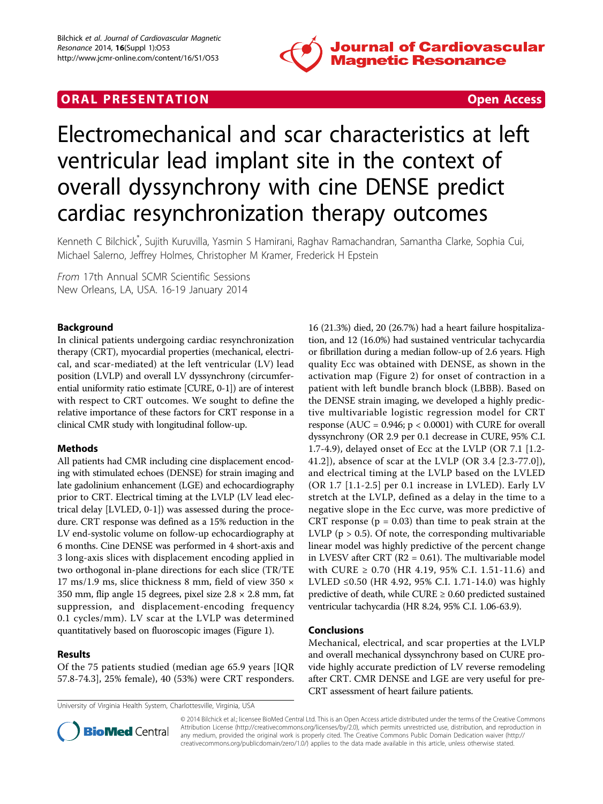

# **ORAL PRESENTATION CONSUMING ACCESS**



# Electromechanical and scar characteristics at left ventricular lead implant site in the context of overall dyssynchrony with cine DENSE predict cardiac resynchronization therapy outcomes

Kenneth C Bilchick\* , Sujith Kuruvilla, Yasmin S Hamirani, Raghav Ramachandran, Samantha Clarke, Sophia Cui, Michael Salerno, Jeffrey Holmes, Christopher M Kramer, Frederick H Epstein

From 17th Annual SCMR Scientific Sessions New Orleans, LA, USA. 16-19 January 2014

# Background

In clinical patients undergoing cardiac resynchronization therapy (CRT), myocardial properties (mechanical, electrical, and scar-mediated) at the left ventricular (LV) lead position (LVLP) and overall LV dyssynchrony (circumferential uniformity ratio estimate [CURE, 0-1]) are of interest with respect to CRT outcomes. We sought to define the relative importance of these factors for CRT response in a clinical CMR study with longitudinal follow-up.

#### Methods

All patients had CMR including cine displacement encoding with stimulated echoes (DENSE) for strain imaging and late gadolinium enhancement (LGE) and echocardiography prior to CRT. Electrical timing at the LVLP (LV lead electrical delay [LVLED, 0-1]) was assessed during the procedure. CRT response was defined as a 15% reduction in the LV end-systolic volume on follow-up echocardiography at 6 months. Cine DENSE was performed in 4 short-axis and 3 long-axis slices with displacement encoding applied in two orthogonal in-plane directions for each slice (TR/TE 17 ms/1.9 ms, slice thickness 8 mm, field of view 350 × 350 mm, flip angle 15 degrees, pixel size  $2.8 \times 2.8$  mm, fat suppression, and displacement-encoding frequency 0.1 cycles/mm). LV scar at the LVLP was determined quantitatively based on fluoroscopic images (Figure [1\)](#page-1-0).

# Results

Of the 75 patients studied (median age 65.9 years [IQR 57.8-74.3], 25% female), 40 (53%) were CRT responders.

16 (21.3%) died, 20 (26.7%) had a heart failure hospitalization, and 12 (16.0%) had sustained ventricular tachycardia or fibrillation during a median follow-up of 2.6 years. High quality Ecc was obtained with DENSE, as shown in the activation map (Figure [2](#page-1-0)) for onset of contraction in a patient with left bundle branch block (LBBB). Based on the DENSE strain imaging, we developed a highly predictive multivariable logistic regression model for CRT response (AUC =  $0.946$ ;  $p < 0.0001$ ) with CURE for overall dyssynchrony (OR 2.9 per 0.1 decrease in CURE, 95% C.I. 1.7-4.9), delayed onset of Ecc at the LVLP (OR 7.1 [1.2- 41.2]), absence of scar at the LVLP (OR 3.4 [2.3-77.0]), and electrical timing at the LVLP based on the LVLED (OR 1.7 [1.1-2.5] per 0.1 increase in LVLED). Early LV stretch at the LVLP, defined as a delay in the time to a negative slope in the Ecc curve, was more predictive of CRT response ( $p = 0.03$ ) than time to peak strain at the LVLP ( $p > 0.5$ ). Of note, the corresponding multivariable linear model was highly predictive of the percent change in LVESV after CRT ( $R2 = 0.61$ ). The multivariable model with CURE ≥ 0.70 (HR 4.19, 95% C.I. 1.51-11.6) and LVLED ≤0.50 (HR 4.92, 95% C.I. 1.71-14.0) was highly predictive of death, while CURE  $\geq$  0.60 predicted sustained ventricular tachycardia (HR 8.24, 95% C.I. 1.06-63.9).

#### Conclusions

Mechanical, electrical, and scar properties at the LVLP and overall mechanical dyssynchrony based on CURE provide highly accurate prediction of LV reverse remodeling after CRT. CMR DENSE and LGE are very useful for pre-CRT assessment of heart failure patients.



© 2014 Bilchick et al.; licensee BioMed Central Ltd. This is an Open Access article distributed under the terms of the Creative Commons Attribution License [\(http://creativecommons.org/licenses/by/2.0](http://creativecommons.org/licenses/by/2.0)), which permits unrestricted use, distribution, and reproduction in any medium, provided the original work is properly cited. The Creative Commons Public Domain Dedication waiver [\(http://](http://creativecommons.org/publicdomain/zero/1.0/) [creativecommons.org/publicdomain/zero/1.0/](http://creativecommons.org/publicdomain/zero/1.0/)) applies to the data made available in this article, unless otherwise stated.

University of Virginia Health System, Charlottesville, Virginia, USA